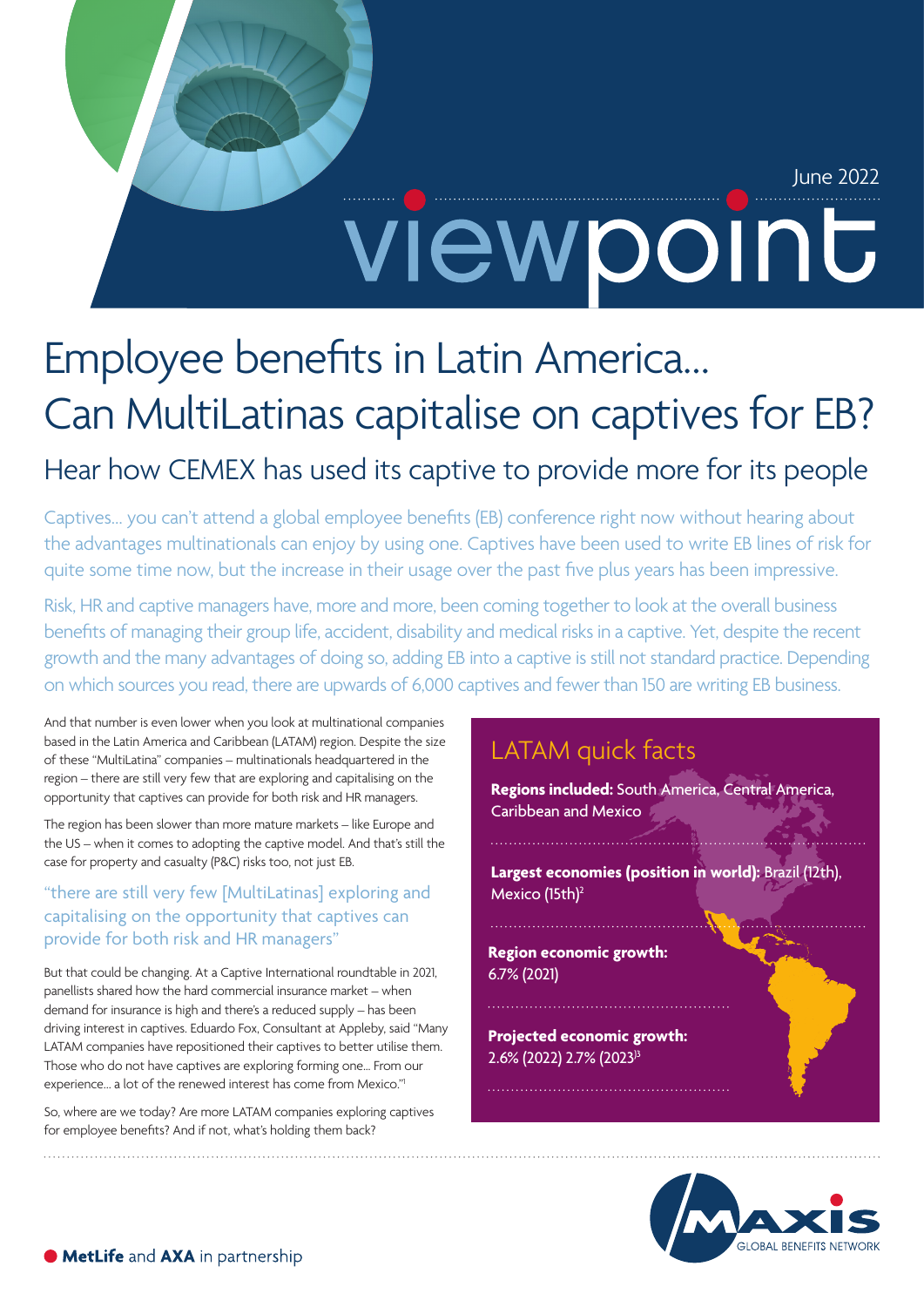# June 2022 viewpoint

# Employee benefits in Latin America… Can MultiLatinas capitalise on captives for EB?

# Hear how CEMEX has used its captive to provide more for its people

Captives… you can't attend a global employee benefits (EB) conference right now without hearing about the advantages multinationals can enjoy by using one. Captives have been used to write EB lines of risk for quite some time now, but the increase in their usage over the past five plus years has been impressive.

Risk, HR and captive managers have, more and more, been coming together to look at the overall business benefits of managing their group life, accident, disability and medical risks in a captive. Yet, despite the recent growth and the many advantages of doing so, adding EB into a captive is still not standard practice. Depending on which sources you read, there are upwards of 6,000 captives and fewer than 150 are writing EB business.

And that number is even lower when you look at multinational companies based in the Latin America and Caribbean (LATAM) region. Despite the size of these "MultiLatina" companies – multinationals headquartered in the region – there are still very few that are exploring and capitalising on the opportunity that captives can provide for both risk and HR managers.

The region has been slower than more mature markets – like Europe and the US – when it comes to adopting the captive model. And that's still the case for property and casualty (P&C) risks too, not just EB.

#### "there are still very few [MultiLatinas] exploring and capitalising on the opportunity that captives can provide for both risk and HR managers"

But that could be changing. At a Captive International roundtable in 2021, panellists shared how the hard commercial insurance market – when demand for insurance is high and there's a reduced supply – has been driving interest in captives. Eduardo Fox, Consultant at Appleby, said "Many LATAM companies have repositioned their captives to better utilise them. Those who do not have captives are exploring forming one... From our experience… a lot of the renewed interest has come from Mexico."1

So, where are we today? Are more LATAM companies exploring captives for employee benefits? And if not, what's holding them back?

## LATAM quick facts

**Regions included:** South America, Central America, Caribbean and Mexico

**Largest economies (position in world):** Brazil (12th), Mexico (15th)<sup>2</sup>

**Region economic growth:**  6.7% (2021)

**Projected economic growth:**  2.6% (2022) 2.7% (2023)3

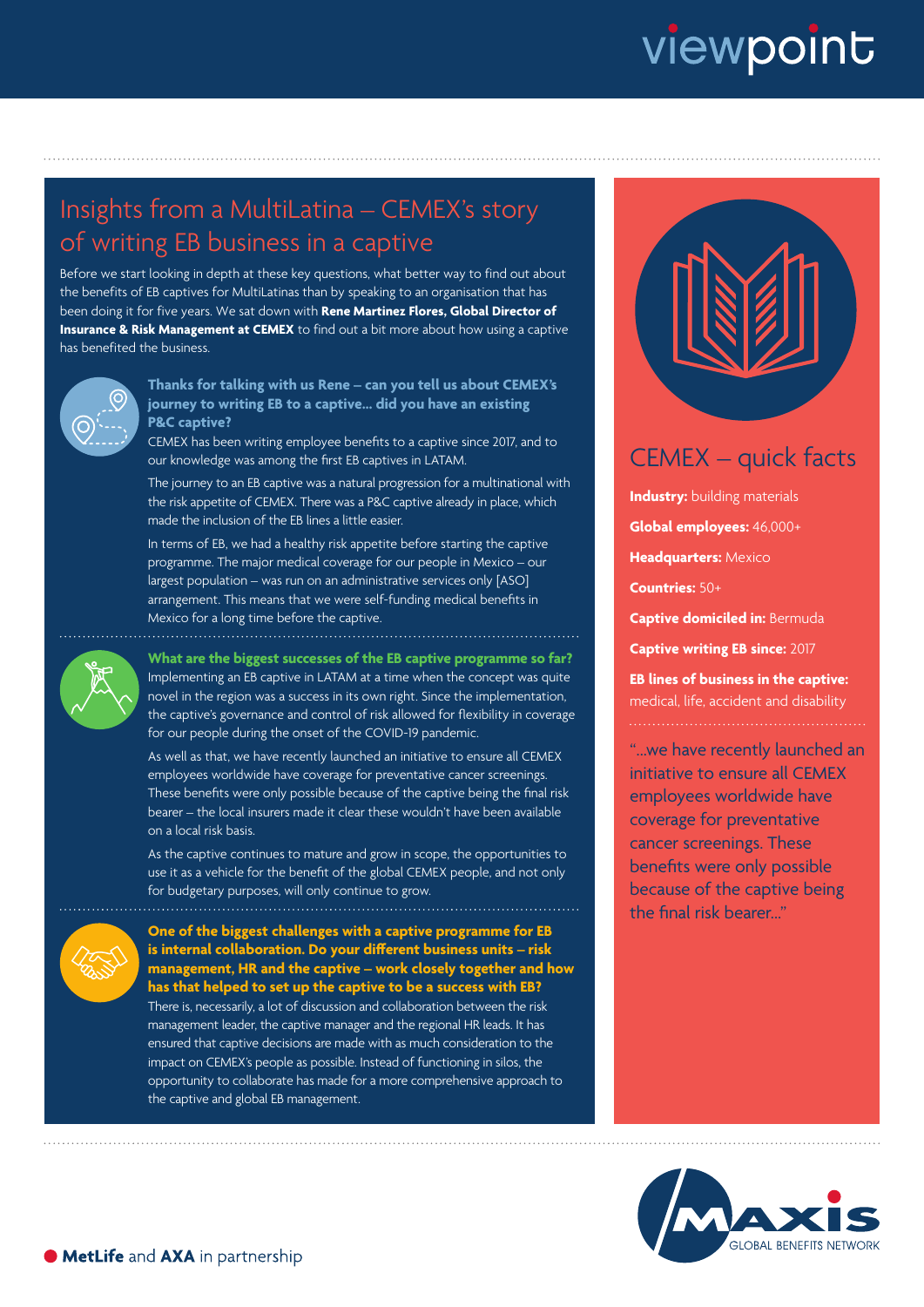# viewpoint

## Insights from a MultiLatina – CEMEX's story of writing EB business in a captive

Before we start looking in depth at these key questions, what better way to find out about the benefits of EB captives for MultiLatinas than by speaking to an organisation that has been doing it for five years. We sat down with **Rene Martinez Flores, Global Director of Insurance & Risk Management at CEMEX** to find out a bit more about how using a captive has benefited the business.



**Thanks for talking with us Rene – can you tell us about CEMEX's journey to writing EB to a captive… did you have an existing P&C captive?**

CEMEX has been writing employee benefits to a captive since 2017, and to our knowledge was among the first EB captives in LATAM.

The journey to an EB captive was a natural progression for a multinational with the risk appetite of CEMEX. There was a P&C captive already in place, which made the inclusion of the EB lines a little easier.

In terms of EB, we had a healthy risk appetite before starting the captive programme. The major medical coverage for our people in Mexico – our largest population – was run on an administrative services only [ASO] arrangement. This means that we were self-funding medical benefits in Mexico for a long time before the captive.



 **What are the biggest successes of the EB captive programme so far?** Implementing an EB captive in LATAM at a time when the concept was quite novel in the region was a success in its own right. Since the implementation, the captive's governance and control of risk allowed for flexibility in coverage for our people during the onset of the COVID-19 pandemic.

As well as that, we have recently launched an initiative to ensure all CEMEX employees worldwide have coverage for preventative cancer screenings. These benefits were only possible because of the captive being the final risk bearer – the local insurers made it clear these wouldn't have been available on a local risk basis.

As the captive continues to mature and grow in scope, the opportunities to use it as a vehicle for the benefit of the global CEMEX people, and not only for budgetary purposes, will only continue to grow. 



**One of the biggest challenges with a captive programme for EB is internal collaboration. Do your different business units – risk management, HR and the captive – work closely together and how has that helped to set up the captive to be a success with EB?**

There is, necessarily, a lot of discussion and collaboration between the risk management leader, the captive manager and the regional HR leads. It has ensured that captive decisions are made with as much consideration to the impact on CEMEX's people as possible. Instead of functioning in silos, the opportunity to collaborate has made for a more comprehensive approach to the captive and global EB management.



### CEMEX – quick facts

**Industry:** building materials **Global employees:** 46,000+ **Headquarters:** Mexico **Countries:** 50+ **Captive domiciled in:** Bermuda **Captive writing EB since:** 2017 **EB lines of business in the captive:**

medical, life, accident and disability

"...we have recently launched an initiative to ensure all CEMEX employees worldwide have coverage for preventative cancer screenings. These benefits were only possible because of the captive being the final risk bearer..."

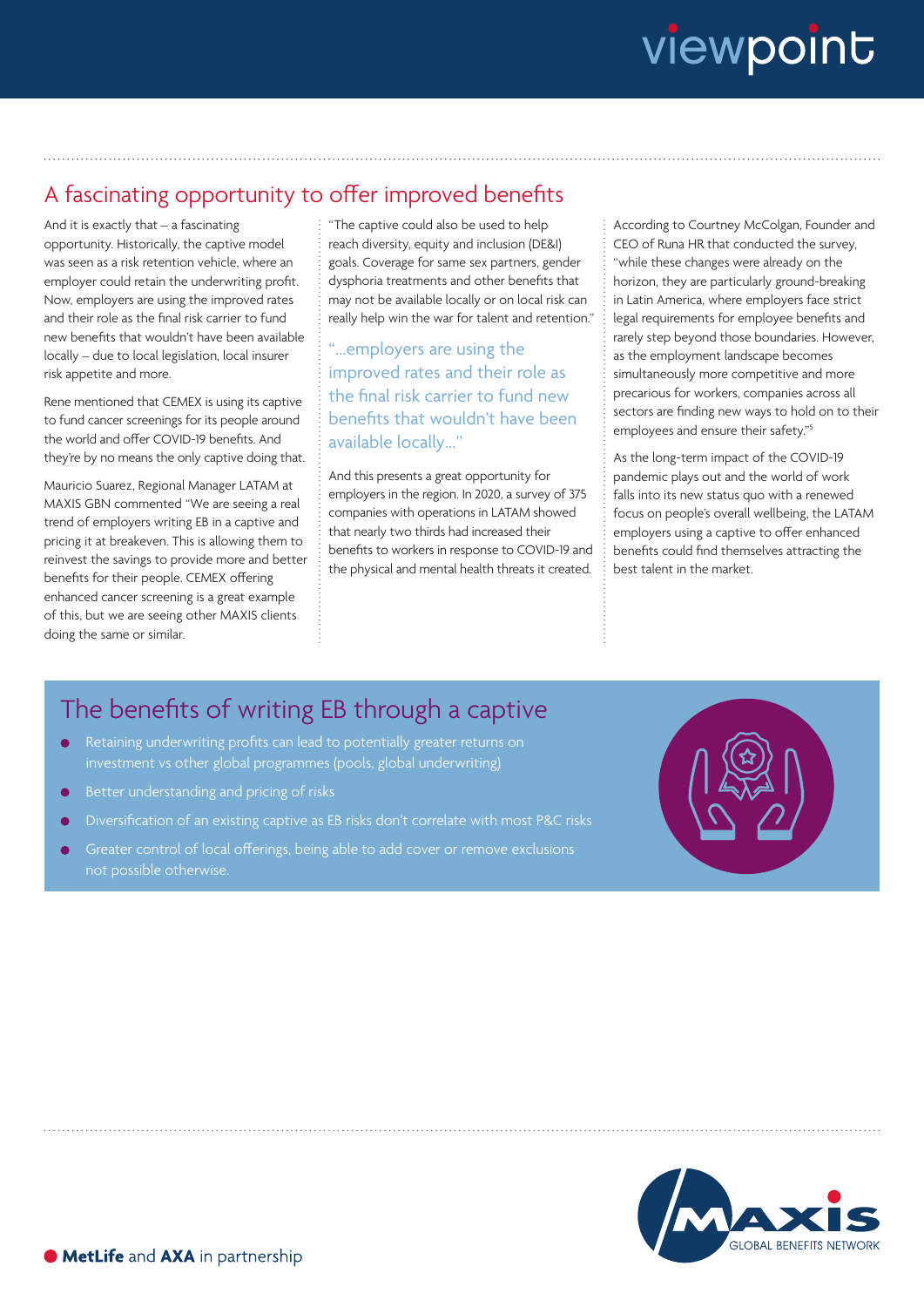### A fascinating opportunity to offer improved benefits

And it is exactly that – a fascinating opportunity. Historically, the captive model was seen as a risk retention vehicle, where an employer could retain the underwriting profit. Now, employers are using the improved rates and their role as the final risk carrier to fund new benefits that wouldn't have been available locally – due to local legislation, local insurer risk appetite and more.

Rene mentioned that CEMEX is using its captive to fund cancer screenings for its people around the world and offer COVID-19 benefits. And they're by no means the only captive doing that.

Mauricio Suarez, Regional Manager LATAM at MAXIS GBN commented "We are seeing a real trend of employers writing EB in a captive and pricing it at breakeven. This is allowing them to reinvest the savings to provide more and better benefits for their people. CEMEX offering enhanced cancer screening is a great example of this, but we are seeing other MAXIS clients doing the same or similar.

"The captive could also be used to help reach diversity, equity and inclusion (DE&I) goals. Coverage for same sex partners, gender dysphoria treatments and other benefits that may not be available locally or on local risk can really help win the war for talent and retention."

"…employers are using the improved rates and their role as the final risk carrier to fund new benefits that wouldn't have been available locally…"

And this presents a great opportunity for employers in the region. In 2020, a survey of 375 companies with operations in LATAM showed that nearly two thirds had increased their benefits to workers in response to COVID-19 and the physical and mental health threats it created.

According to Courtney McColgan, Founder and CEO of Runa HR that conducted the survey, "while these changes were already on the horizon, they are particularly ground-breaking in Latin America, where employers face strict legal requirements for employee benefits and rarely step beyond those boundaries. However, as the employment landscape becomes simultaneously more competitive and more precarious for workers, companies across all sectors are finding new ways to hold on to their employees and ensure their safety."5

As the long-term impact of the COVID-19 pandemic plays out and the world of work falls into its new status quo with a renewed focus on people's overall wellbeing, the LATAM employers using a captive to offer enhanced benefits could find themselves attracting the best talent in the market.

### The benefits of writing EB through a captive

- Retaining underwriting profits can lead to potentially greater returns on investment vs other global programmes (pools, global underwriting)
- Better understanding and pricing of risks
- Diversification of an existing captive as EB risks don't correlate with most P&C risks
- Greater control of local offerings, being able to add cover or remove exclusions



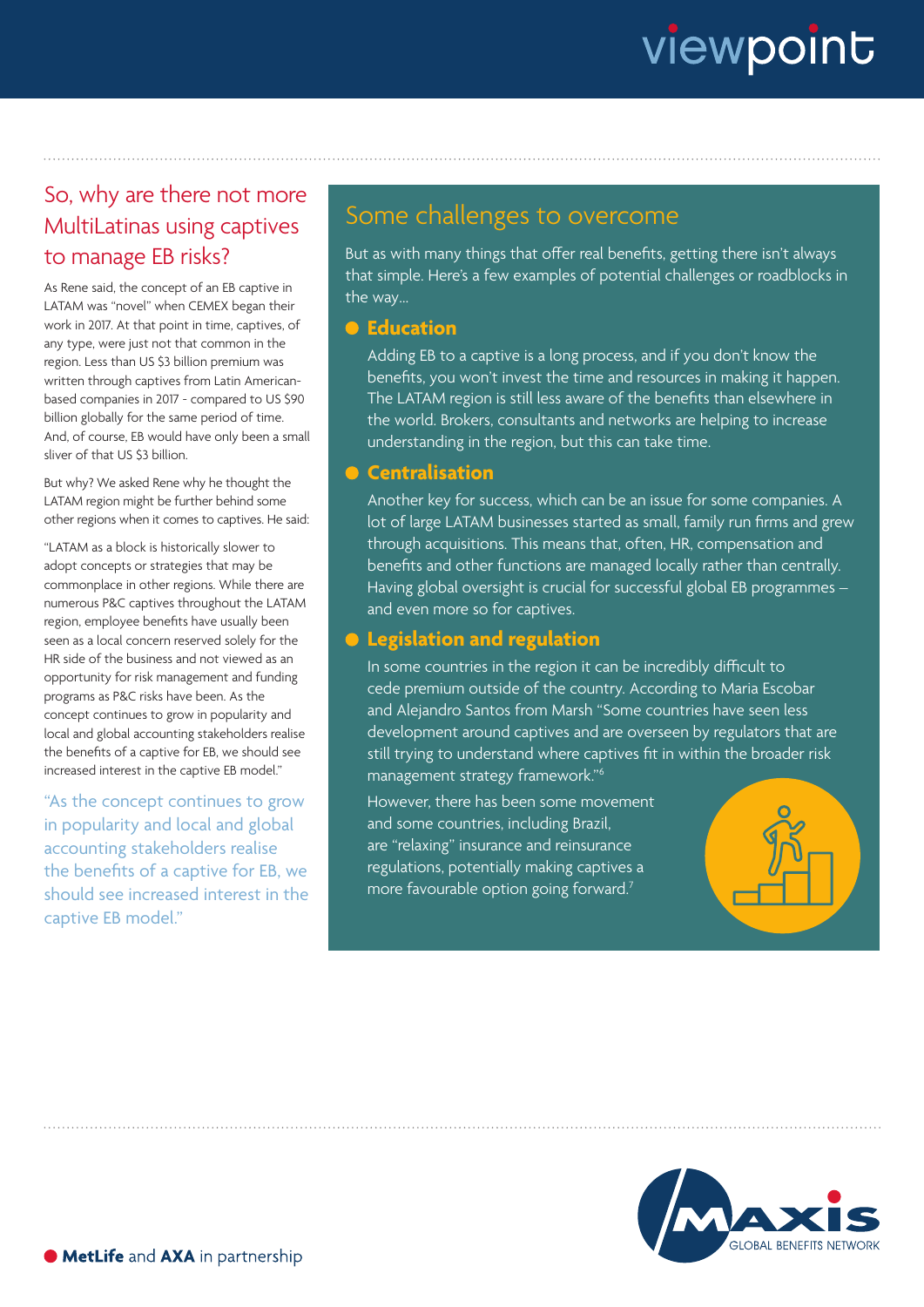# viewpoint

### So, why are there not more MultiLatinas using captives to manage EB risks?

As Rene said, the concept of an EB captive in LATAM was "novel" when CEMEX began their work in 2017. At that point in time, captives, of any type, were just not that common in the region. Less than US \$3 billion premium was written through captives from Latin Americanbased companies in 2017 - compared to US \$90 billion globally for the same period of time. And, of course, EB would have only been a small sliver of that US \$3 billion.

But why? We asked Rene why he thought the LATAM region might be further behind some other regions when it comes to captives. He said:

"LATAM as a block is historically slower to adopt concepts or strategies that may be commonplace in other regions. While there are numerous P&C captives throughout the LATAM region, employee benefits have usually been seen as a local concern reserved solely for the HR side of the business and not viewed as an opportunity for risk management and funding programs as P&C risks have been. As the concept continues to grow in popularity and local and global accounting stakeholders realise the benefits of a captive for EB, we should see increased interest in the captive EB model."

"As the concept continues to grow in popularity and local and global accounting stakeholders realise the benefits of a captive for EB, we should see increased interest in the captive EB model."

### Some challenges to overcome

But as with many things that offer real benefits, getting there isn't always that simple. Here's a few examples of potential challenges or roadblocks in the way…

#### $\bullet$  Education

Adding EB to a captive is a long process, and if you don't know the benefits, you won't invest the time and resources in making it happen. The LATAM region is still less aware of the benefits than elsewhere in the world. Brokers, consultants and networks are helping to increase understanding in the region, but this can take time.

### **Centralisation**

Another key for success, which can be an issue for some companies. A lot of large LATAM businesses started as small, family run firms and grew through acquisitions. This means that, often, HR, compensation and benefits and other functions are managed locally rather than centrally. Having global oversight is crucial for successful global EB programmes – and even more so for captives.

### **Legislation and regulation**

In some countries in the region it can be incredibly difficult to cede premium outside of the country. According to Maria Escobar and Alejandro Santos from Marsh "Some countries have seen less development around captives and are overseen by regulators that are still trying to understand where captives fit in within the broader risk management strategy framework."6

However, there has been some movement and some countries, including Brazil, are "relaxing" insurance and reinsurance regulations, potentially making captives a more favourable option going forward.7